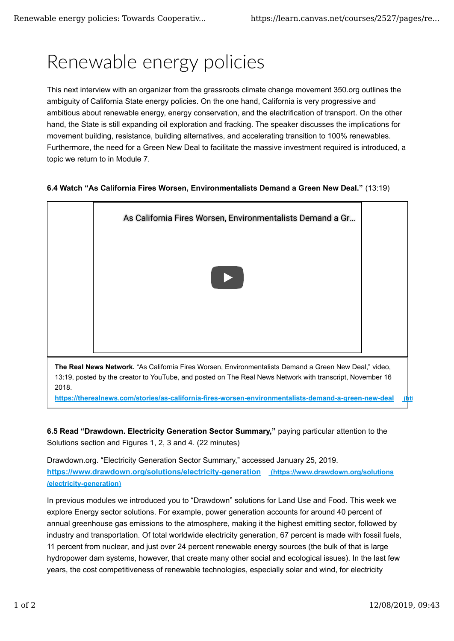## Renewable energy policies

This next interview with an organizer from the grassroots climate change movement 350.org outlines the ambiguity of California State energy policies. On the one hand, California is very progressive and ambitious about renewable energy, energy conservation, and the electrification of transport. On the other hand, the State is still expanding oil exploration and fracking. The speaker discusses the implications for movement building, resistance, building alternatives, and accelerating transition to 100% renewables. Furthermore, the need for a Green New Deal to facilitate the massive investment required is introduced, a topic we return to in Module 7.

## **6.4 Watch "As California Fires Worsen, Environmentalists Demand a Green New Deal."** (13:19)



13:19, posted by the creator to YouTube, and posted on The Real News Network with transcript, November 16 2018.

**https://therealnews.com/stories/as-california-fires-worsen-environmentalists-demand-a-green-new-deal (https://therealnews.com**

**6.5 Read "Drawdown. Electricity Generation Sector Summary,"** paying particular attention to the Solutions section and Figures 1, 2, 3 and 4. (22 minutes)

Drawdown.org. "Electricity Generation Sector Summary," accessed January 25, 2019. **https://www.drawdown.org/solutions/electricity-generation (https://www.drawdown.org/solutions /electricity-generation)**

In previous modules we introduced you to "Drawdown" solutions for Land Use and Food. This week we explore Energy sector solutions. For example, power generation accounts for around 40 percent of annual greenhouse gas emissions to the atmosphere, making it the highest emitting sector, followed by industry and transportation. Of total worldwide electricity generation, 67 percent is made with fossil fuels, 11 percent from nuclear, and just over 24 percent renewable energy sources (the bulk of that is large hydropower dam systems, however, that create many other social and ecological issues). In the last few years, the cost competitiveness of renewable technologies, especially solar and wind, for electricity